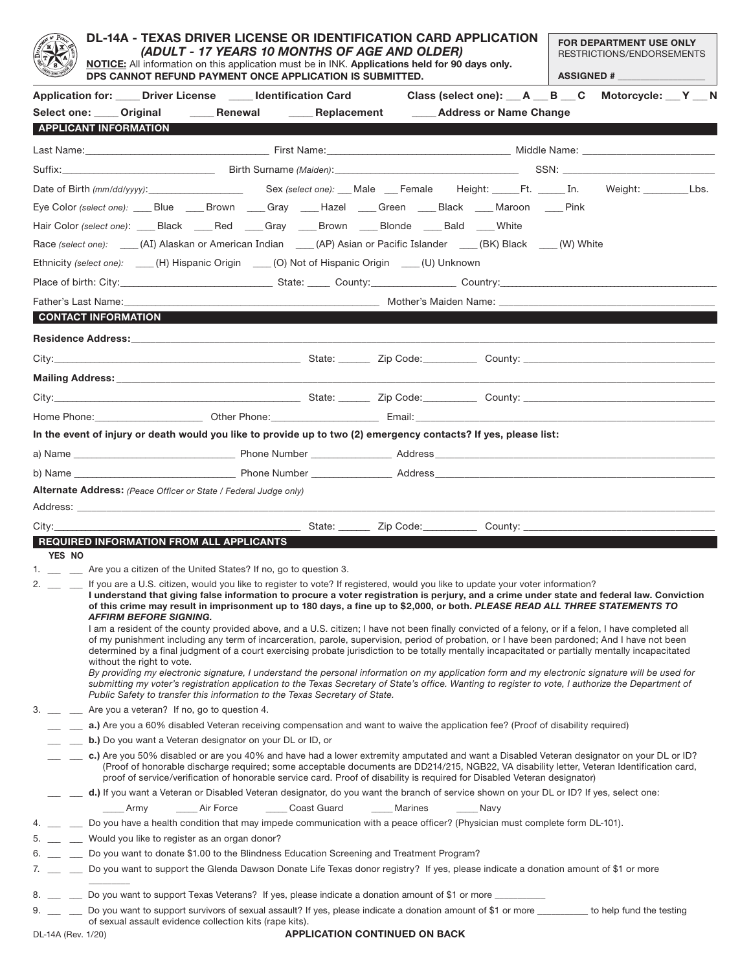|                    | <b>DL-14A - TEXAS DRIVER LICENSE OR IDENTIFICATION CARD APPLICATION</b><br>(ADULT - 17 YEARS 10 MONTHS OF AGE AND OLDER)<br>NOTICE: All information on this application must be in INK. Applications held for 90 days only.<br>DPS CANNOT REFUND PAYMENT ONCE APPLICATION IS SUBMITTED. |                                                                                                                                                                                                                                |             |                               |         |                                                                                                                                                                                                                                                                                                                                                                                                                                                                                                                                                                                                                                                                                                                                                                                                                                                                           |  | FOR DEPARTMENT USE ONLY<br>RESTRICTIONS/ENDORSEMENTS<br><b>ASSIGNED # __________________</b> |  |  |
|--------------------|-----------------------------------------------------------------------------------------------------------------------------------------------------------------------------------------------------------------------------------------------------------------------------------------|--------------------------------------------------------------------------------------------------------------------------------------------------------------------------------------------------------------------------------|-------------|-------------------------------|---------|---------------------------------------------------------------------------------------------------------------------------------------------------------------------------------------------------------------------------------------------------------------------------------------------------------------------------------------------------------------------------------------------------------------------------------------------------------------------------------------------------------------------------------------------------------------------------------------------------------------------------------------------------------------------------------------------------------------------------------------------------------------------------------------------------------------------------------------------------------------------------|--|----------------------------------------------------------------------------------------------|--|--|
|                    |                                                                                                                                                                                                                                                                                         |                                                                                                                                                                                                                                |             |                               |         | Application for: ____Driver License _____Identification Card Class (select one): ___A ___B ___C Motorcycle: __Y ___ N                                                                                                                                                                                                                                                                                                                                                                                                                                                                                                                                                                                                                                                                                                                                                     |  |                                                                                              |  |  |
|                    |                                                                                                                                                                                                                                                                                         |                                                                                                                                                                                                                                |             |                               |         | Select one: ____ Original ______ Renewal ______ Replacement ______ Address or Name Change                                                                                                                                                                                                                                                                                                                                                                                                                                                                                                                                                                                                                                                                                                                                                                                 |  |                                                                                              |  |  |
|                    | <b>APPLICANT INFORMATION</b>                                                                                                                                                                                                                                                            |                                                                                                                                                                                                                                |             |                               |         |                                                                                                                                                                                                                                                                                                                                                                                                                                                                                                                                                                                                                                                                                                                                                                                                                                                                           |  |                                                                                              |  |  |
|                    |                                                                                                                                                                                                                                                                                         |                                                                                                                                                                                                                                |             |                               |         |                                                                                                                                                                                                                                                                                                                                                                                                                                                                                                                                                                                                                                                                                                                                                                                                                                                                           |  |                                                                                              |  |  |
|                    |                                                                                                                                                                                                                                                                                         |                                                                                                                                                                                                                                |             |                               |         |                                                                                                                                                                                                                                                                                                                                                                                                                                                                                                                                                                                                                                                                                                                                                                                                                                                                           |  |                                                                                              |  |  |
|                    |                                                                                                                                                                                                                                                                                         |                                                                                                                                                                                                                                |             |                               |         |                                                                                                                                                                                                                                                                                                                                                                                                                                                                                                                                                                                                                                                                                                                                                                                                                                                                           |  |                                                                                              |  |  |
|                    |                                                                                                                                                                                                                                                                                         |                                                                                                                                                                                                                                |             |                               |         |                                                                                                                                                                                                                                                                                                                                                                                                                                                                                                                                                                                                                                                                                                                                                                                                                                                                           |  |                                                                                              |  |  |
|                    |                                                                                                                                                                                                                                                                                         |                                                                                                                                                                                                                                |             |                               |         | Eye Color (select one): ____Blue _____Brown ____Gray ____Hazel ____Green ____Black ____Maroon ____Pink                                                                                                                                                                                                                                                                                                                                                                                                                                                                                                                                                                                                                                                                                                                                                                    |  |                                                                                              |  |  |
|                    |                                                                                                                                                                                                                                                                                         | Hair Color (select one): _____ Black _____ Red _____ Gray _____ Brown _____ Blonde _____ Bald _____ White                                                                                                                      |             |                               |         |                                                                                                                                                                                                                                                                                                                                                                                                                                                                                                                                                                                                                                                                                                                                                                                                                                                                           |  |                                                                                              |  |  |
|                    |                                                                                                                                                                                                                                                                                         |                                                                                                                                                                                                                                |             |                               |         | Race (select one): ____(AI) Alaskan or American Indian ____(AP) Asian or Pacific Islander ____(BK) Black ___(W) White                                                                                                                                                                                                                                                                                                                                                                                                                                                                                                                                                                                                                                                                                                                                                     |  |                                                                                              |  |  |
|                    |                                                                                                                                                                                                                                                                                         | Ethnicity (select one): ____(H) Hispanic Origin ___(O) Not of Hispanic Origin ___(U) Unknown                                                                                                                                   |             |                               |         |                                                                                                                                                                                                                                                                                                                                                                                                                                                                                                                                                                                                                                                                                                                                                                                                                                                                           |  |                                                                                              |  |  |
|                    |                                                                                                                                                                                                                                                                                         |                                                                                                                                                                                                                                |             |                               |         |                                                                                                                                                                                                                                                                                                                                                                                                                                                                                                                                                                                                                                                                                                                                                                                                                                                                           |  |                                                                                              |  |  |
|                    | Father's Last Name:                                                                                                                                                                                                                                                                     |                                                                                                                                                                                                                                |             |                               |         |                                                                                                                                                                                                                                                                                                                                                                                                                                                                                                                                                                                                                                                                                                                                                                                                                                                                           |  |                                                                                              |  |  |
|                    | CONTACT INFORMATION                                                                                                                                                                                                                                                                     |                                                                                                                                                                                                                                |             |                               |         |                                                                                                                                                                                                                                                                                                                                                                                                                                                                                                                                                                                                                                                                                                                                                                                                                                                                           |  |                                                                                              |  |  |
|                    |                                                                                                                                                                                                                                                                                         |                                                                                                                                                                                                                                |             |                               |         |                                                                                                                                                                                                                                                                                                                                                                                                                                                                                                                                                                                                                                                                                                                                                                                                                                                                           |  |                                                                                              |  |  |
|                    |                                                                                                                                                                                                                                                                                         |                                                                                                                                                                                                                                |             |                               |         |                                                                                                                                                                                                                                                                                                                                                                                                                                                                                                                                                                                                                                                                                                                                                                                                                                                                           |  |                                                                                              |  |  |
|                    |                                                                                                                                                                                                                                                                                         |                                                                                                                                                                                                                                |             |                               |         |                                                                                                                                                                                                                                                                                                                                                                                                                                                                                                                                                                                                                                                                                                                                                                                                                                                                           |  |                                                                                              |  |  |
|                    |                                                                                                                                                                                                                                                                                         | Mailing Address: All and the control of the control of the control of the control of the control of the control of the control of the control of the control of the control of the control of the control of the control of th |             |                               |         |                                                                                                                                                                                                                                                                                                                                                                                                                                                                                                                                                                                                                                                                                                                                                                                                                                                                           |  |                                                                                              |  |  |
|                    |                                                                                                                                                                                                                                                                                         |                                                                                                                                                                                                                                |             |                               |         |                                                                                                                                                                                                                                                                                                                                                                                                                                                                                                                                                                                                                                                                                                                                                                                                                                                                           |  |                                                                                              |  |  |
|                    |                                                                                                                                                                                                                                                                                         |                                                                                                                                                                                                                                |             |                               |         |                                                                                                                                                                                                                                                                                                                                                                                                                                                                                                                                                                                                                                                                                                                                                                                                                                                                           |  |                                                                                              |  |  |
|                    |                                                                                                                                                                                                                                                                                         |                                                                                                                                                                                                                                |             |                               |         | In the event of injury or death would you like to provide up to two (2) emergency contacts? If yes, please list:                                                                                                                                                                                                                                                                                                                                                                                                                                                                                                                                                                                                                                                                                                                                                          |  |                                                                                              |  |  |
|                    |                                                                                                                                                                                                                                                                                         |                                                                                                                                                                                                                                |             |                               |         |                                                                                                                                                                                                                                                                                                                                                                                                                                                                                                                                                                                                                                                                                                                                                                                                                                                                           |  |                                                                                              |  |  |
|                    |                                                                                                                                                                                                                                                                                         |                                                                                                                                                                                                                                |             |                               |         |                                                                                                                                                                                                                                                                                                                                                                                                                                                                                                                                                                                                                                                                                                                                                                                                                                                                           |  |                                                                                              |  |  |
|                    |                                                                                                                                                                                                                                                                                         | <b>Alternate Address:</b> (Peace Officer or State / Federal Judge only)                                                                                                                                                        |             |                               |         |                                                                                                                                                                                                                                                                                                                                                                                                                                                                                                                                                                                                                                                                                                                                                                                                                                                                           |  |                                                                                              |  |  |
|                    |                                                                                                                                                                                                                                                                                         | <b>REQUIRED INFORMATION FROM ALL APPLICANTS</b>                                                                                                                                                                                |             |                               |         |                                                                                                                                                                                                                                                                                                                                                                                                                                                                                                                                                                                                                                                                                                                                                                                                                                                                           |  |                                                                                              |  |  |
| YES NO             |                                                                                                                                                                                                                                                                                         |                                                                                                                                                                                                                                |             |                               |         |                                                                                                                                                                                                                                                                                                                                                                                                                                                                                                                                                                                                                                                                                                                                                                                                                                                                           |  |                                                                                              |  |  |
|                    |                                                                                                                                                                                                                                                                                         | 1. __ _ _ Are you a citizen of the United States? If no, go to question 3.                                                                                                                                                     |             |                               |         |                                                                                                                                                                                                                                                                                                                                                                                                                                                                                                                                                                                                                                                                                                                                                                                                                                                                           |  |                                                                                              |  |  |
| 2.                 | <b>AFFIRM BEFORE SIGNING.</b><br>without the right to vote.                                                                                                                                                                                                                             |                                                                                                                                                                                                                                |             |                               |         | If you are a U.S. citizen, would you like to register to vote? If registered, would you like to update your voter information?<br>I understand that giving false information to procure a voter registration is perjury, and a crime under state and federal law. Conviction<br>of this crime may result in imprisonment up to 180 days, a fine up to \$2,000, or both. PLEASE READ ALL THREE STATEMENTS TO<br>I am a resident of the county provided above, and a U.S. citizen; I have not been finally convicted of a felony, or if a felon, I have completed all<br>of my punishment including any term of incarceration, parole, supervision, period of probation, or I have been pardoned; And I have not been<br>determined by a final judgment of a court exercising probate jurisdiction to be totally mentally incapacitated or partially mentally incapacitated |  |                                                                                              |  |  |
|                    |                                                                                                                                                                                                                                                                                         | Public Safety to transfer this information to the Texas Secretary of State.                                                                                                                                                    |             |                               |         | By providing my electronic signature, I understand the personal information on my application form and my electronic signature will be used for<br>submitting my voter's registration application to the Texas Secretary of State's office. Wanting to register to vote, I authorize the Department of                                                                                                                                                                                                                                                                                                                                                                                                                                                                                                                                                                    |  |                                                                                              |  |  |
| 3.                 |                                                                                                                                                                                                                                                                                         | Are you a veteran? If no, go to question 4.                                                                                                                                                                                    |             |                               |         |                                                                                                                                                                                                                                                                                                                                                                                                                                                                                                                                                                                                                                                                                                                                                                                                                                                                           |  |                                                                                              |  |  |
|                    |                                                                                                                                                                                                                                                                                         |                                                                                                                                                                                                                                |             |                               |         | a.) Are you a 60% disabled Veteran receiving compensation and want to waive the application fee? (Proof of disability required)                                                                                                                                                                                                                                                                                                                                                                                                                                                                                                                                                                                                                                                                                                                                           |  |                                                                                              |  |  |
|                    |                                                                                                                                                                                                                                                                                         | <b>b.</b> ) Do you want a Veteran designator on your DL or ID, or                                                                                                                                                              |             |                               |         |                                                                                                                                                                                                                                                                                                                                                                                                                                                                                                                                                                                                                                                                                                                                                                                                                                                                           |  |                                                                                              |  |  |
|                    |                                                                                                                                                                                                                                                                                         |                                                                                                                                                                                                                                |             |                               |         | c.) Are you 50% disabled or are you 40% and have had a lower extremity amputated and want a Disabled Veteran designator on your DL or ID?<br>(Proof of honorable discharge required; some acceptable documents are DD214/215, NGB22, VA disability letter, Veteran Identification card,<br>proof of service/verification of honorable service card. Proof of disability is required for Disabled Veteran designator)                                                                                                                                                                                                                                                                                                                                                                                                                                                      |  |                                                                                              |  |  |
|                    |                                                                                                                                                                                                                                                                                         |                                                                                                                                                                                                                                |             |                               |         | d.) If you want a Veteran or Disabled Veteran designator, do you want the branch of service shown on your DL or ID? If yes, select one:                                                                                                                                                                                                                                                                                                                                                                                                                                                                                                                                                                                                                                                                                                                                   |  |                                                                                              |  |  |
|                    | Army                                                                                                                                                                                                                                                                                    | Air Force                                                                                                                                                                                                                      | Coast Guard |                               | Marines | ____ Navy                                                                                                                                                                                                                                                                                                                                                                                                                                                                                                                                                                                                                                                                                                                                                                                                                                                                 |  |                                                                                              |  |  |
|                    |                                                                                                                                                                                                                                                                                         |                                                                                                                                                                                                                                |             |                               |         | 4. __ __ Do you have a health condition that may impede communication with a peace officer? (Physician must complete form DL-101).                                                                                                                                                                                                                                                                                                                                                                                                                                                                                                                                                                                                                                                                                                                                        |  |                                                                                              |  |  |
|                    | 5. __ _ _ Would you like to register as an organ donor?                                                                                                                                                                                                                                 |                                                                                                                                                                                                                                |             |                               |         |                                                                                                                                                                                                                                                                                                                                                                                                                                                                                                                                                                                                                                                                                                                                                                                                                                                                           |  |                                                                                              |  |  |
|                    | 6. __ _ _ Do you want to donate \$1.00 to the Blindness Education Screening and Treatment Program?<br>7. __ _ Do you want to support the Glenda Dawson Donate Life Texas donor registry? If yes, please indicate a donation amount of \$1 or more                                       |                                                                                                                                                                                                                                |             |                               |         |                                                                                                                                                                                                                                                                                                                                                                                                                                                                                                                                                                                                                                                                                                                                                                                                                                                                           |  |                                                                                              |  |  |
|                    |                                                                                                                                                                                                                                                                                         |                                                                                                                                                                                                                                |             |                               |         |                                                                                                                                                                                                                                                                                                                                                                                                                                                                                                                                                                                                                                                                                                                                                                                                                                                                           |  |                                                                                              |  |  |
|                    |                                                                                                                                                                                                                                                                                         |                                                                                                                                                                                                                                |             |                               |         | 8. __ _ _ Do you want to support Texas Veterans? If yes, please indicate a donation amount of \$1 or more _______                                                                                                                                                                                                                                                                                                                                                                                                                                                                                                                                                                                                                                                                                                                                                         |  |                                                                                              |  |  |
|                    |                                                                                                                                                                                                                                                                                         | of sexual assault evidence collection kits (rape kits).                                                                                                                                                                        |             |                               |         | 9. __ _ Do you want to support survivors of sexual assault? If yes, please indicate a donation amount of \$1 or more ________ to help fund the testing                                                                                                                                                                                                                                                                                                                                                                                                                                                                                                                                                                                                                                                                                                                    |  |                                                                                              |  |  |
| DI-14A (Rev. 1/20) |                                                                                                                                                                                                                                                                                         |                                                                                                                                                                                                                                |             | APPLICATION CONTINUED ON BACK |         |                                                                                                                                                                                                                                                                                                                                                                                                                                                                                                                                                                                                                                                                                                                                                                                                                                                                           |  |                                                                                              |  |  |